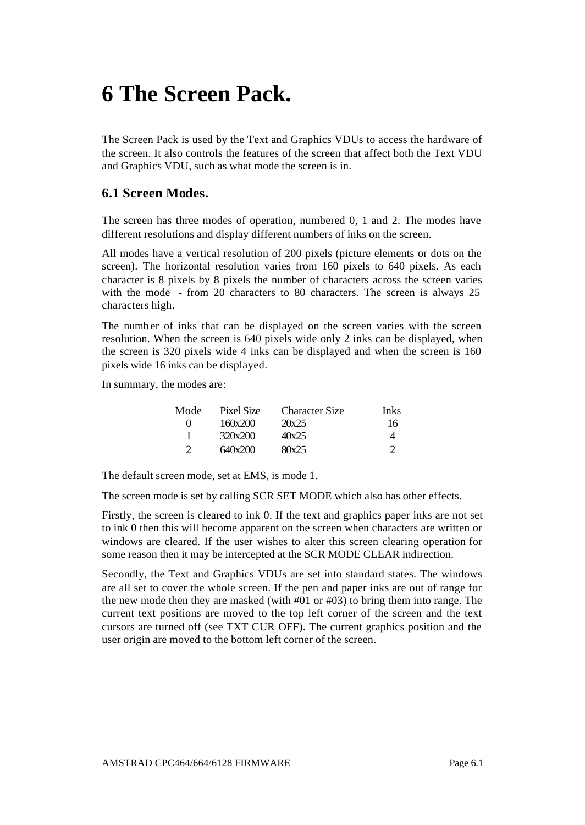# **6 The Screen Pack.**

The Screen Pack is used by the Text and Graphics VDUs to access the hardware of the screen. It also controls the features of the screen that affect both the Text VDU and Graphics VDU, such as what mode the screen is in.

### **6.1 Screen Modes.**

The screen has three modes of operation, numbered 0, 1 and 2. The modes have different resolutions and display different numbers of inks on the screen.

All modes have a vertical resolution of 200 pixels (picture elements or dots on the screen). The horizontal resolution varies from 160 pixels to 640 pixels. As each character is 8 pixels by 8 pixels the number of characters across the screen varies with the mode - from 20 characters to 80 characters. The screen is always 25 characters high.

The number of inks that can be displayed on the screen varies with the screen resolution. When the screen is 640 pixels wide only 2 inks can be displayed, when the screen is 320 pixels wide 4 inks can be displayed and when the screen is 160 pixels wide 16 inks can be displayed.

In summary, the modes are:

| Mode          | Pixel Size | <b>Character Size</b> | <b>Inks</b> |
|---------------|------------|-----------------------|-------------|
| $\mathbf{0}$  | 160x200    | 20x25                 | 16          |
|               | 320x200    | 40x25                 | 4           |
| $\mathcal{D}$ | 640x200    | 80x25                 |             |

The default screen mode, set at EMS, is mode 1.

The screen mode is set by calling SCR SET MODE which also has other effects.

Firstly, the screen is cleared to ink 0. If the text and graphics paper inks are not set to ink 0 then this will become apparent on the screen when characters are written or windows are cleared. If the user wishes to alter this screen clearing operation for some reason then it may be intercepted at the SCR MODE CLEAR indirection.

Secondly, the Text and Graphics VDUs are set into standard states. The windows are all set to cover the whole screen. If the pen and paper inks are out of range for the new mode then they are masked (with  $#01$  or  $#03$ ) to bring them into range. The current text positions are moved to the top left corner of the screen and the text cursors are turned off (see TXT CUR OFF). The current graphics position and the user origin are moved to the bottom left corner of the screen.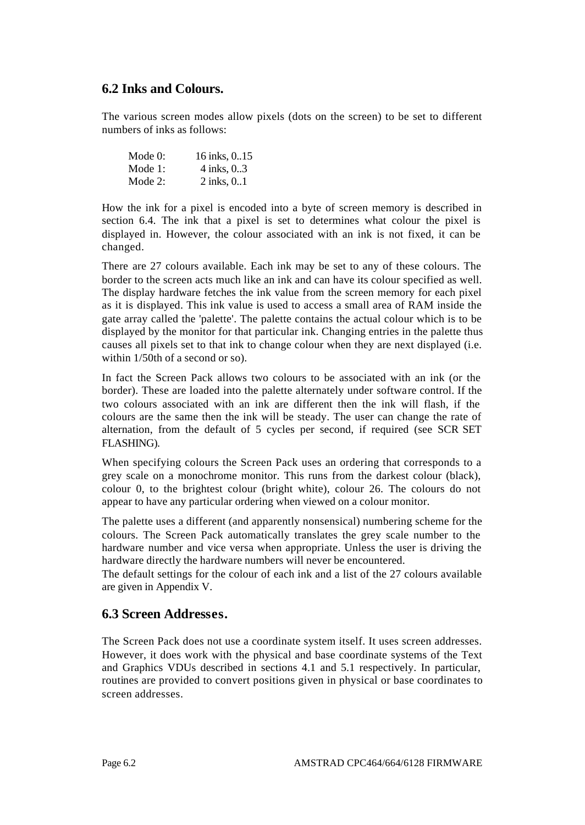#### **6.2 Inks and Colours.**

The various screen modes allow pixels (dots on the screen) to be set to different numbers of inks as follows:

| Mode $0$ : | 16 inks, 015 |
|------------|--------------|
| Mode $1$ : | 4 inks, 03   |
| Mode $2$ : | 2 inks, 0.1  |

How the ink for a pixel is encoded into a byte of screen memory is described in section 6.4. The ink that a pixel is set to determines what colour the pixel is displayed in. However, the colour associated with an ink is not fixed, it can be changed.

There are 27 colours available. Each ink may be set to any of these colours. The border to the screen acts much like an ink and can have its colour specified as well. The display hardware fetches the ink value from the screen memory for each pixel as it is displayed. This ink value is used to access a small area of RAM inside the gate array called the 'palette'. The palette contains the actual colour which is to be displayed by the monitor for that particular ink. Changing entries in the palette thus causes all pixels set to that ink to change colour when they are next displayed (i.e. within 1/50th of a second or so).

In fact the Screen Pack allows two colours to be associated with an ink (or the border). These are loaded into the palette alternately under software control. If the two colours associated with an ink are different then the ink will flash, if the colours are the same then the ink will be steady. The user can change the rate of alternation, from the default of 5 cycles per second, if required (see SCR SET FLASHING).

When specifying colours the Screen Pack uses an ordering that corresponds to a grey scale on a monochrome monitor. This runs from the darkest colour (black), colour 0, to the brightest colour (bright white), colour 26. The colours do not appear to have any particular ordering when viewed on a colour monitor.

The palette uses a different (and apparently nonsensical) numbering scheme for the colours. The Screen Pack automatically translates the grey scale number to the hardware number and vice versa when appropriate. Unless the user is driving the hardware directly the hardware numbers will never be encountered.

The default settings for the colour of each ink and a list of the 27 colours available are given in Appendix V.

#### **6.3 Screen Addresses.**

The Screen Pack does not use a coordinate system itself. It uses screen addresses. However, it does work with the physical and base coordinate systems of the Text and Graphics VDUs described in sections 4.1 and 5.1 respectively. In particular, routines are provided to convert positions given in physical or base coordinates to screen addresses.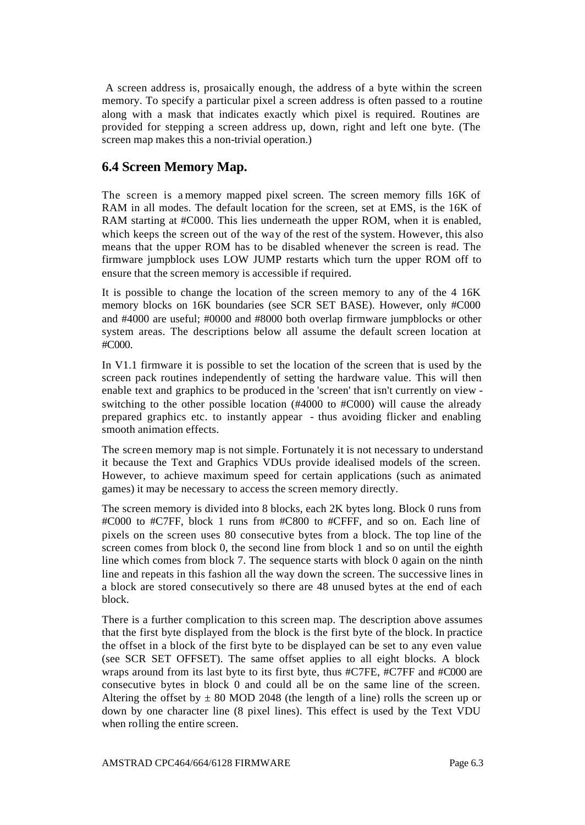A screen address is, prosaically enough, the address of a byte within the screen memory. To specify a particular pixel a screen address is often passed to a routine along with a mask that indicates exactly which pixel is required. Routines are provided for stepping a screen address up, down, right and left one byte. (The screen map makes this a non-trivial operation.)

## **6.4 Screen Memory Map.**

The screen is a memory mapped pixel screen. The screen memory fills 16K of RAM in all modes. The default location for the screen, set at EMS, is the 16K of RAM starting at #C000. This lies underneath the upper ROM, when it is enabled, which keeps the screen out of the way of the rest of the system. However, this also means that the upper ROM has to be disabled whenever the screen is read. The firmware jumpblock uses LOW JUMP restarts which turn the upper ROM off to ensure that the screen memory is accessible if required.

It is possible to change the location of the screen memory to any of the 4 16K memory blocks on 16K boundaries (see SCR SET BASE). However, only #C000 and #4000 are useful; #0000 and #8000 both overlap firmware jumpblocks or other system areas. The descriptions below all assume the default screen location at #C000.

In V1.1 firmware it is possible to set the location of the screen that is used by the screen pack routines independently of setting the hardware value. This will then enable text and graphics to be produced in the 'screen' that isn't currently on view switching to the other possible location (#4000 to #C000) will cause the already prepared graphics etc. to instantly appear - thus avoiding flicker and enabling smooth animation effects.

The screen memory map is not simple. Fortunately it is not necessary to understand it because the Text and Graphics VDUs provide idealised models of the screen. However, to achieve maximum speed for certain applications (such as animated games) it may be necessary to access the screen memory directly.

The screen memory is divided into 8 blocks, each 2K bytes long. Block 0 runs from #C000 to #C7FF, block 1 runs from #C800 to #CFFF, and so on. Each line of pixels on the screen uses 80 consecutive bytes from a block. The top line of the screen comes from block 0, the second line from block 1 and so on until the eighth line which comes from block 7. The sequence starts with block 0 again on the ninth line and repeats in this fashion all the way down the screen. The successive lines in a block are stored consecutively so there are 48 unused bytes at the end of each block.

There is a further complication to this screen map. The description above assumes that the first byte displayed from the block is the first byte of the block. In practice the offset in a block of the first byte to be displayed can be set to any even value (see SCR SET OFFSET). The same offset applies to all eight blocks. A block wraps around from its last byte to its first byte, thus #C7FE, #C7FF and #C000 are consecutive bytes in block 0 and could all be on the same line of the screen. Altering the offset by  $\pm 80$  MOD 2048 (the length of a line) rolls the screen up or down by one character line (8 pixel lines). This effect is used by the Text VDU when rolling the entire screen.